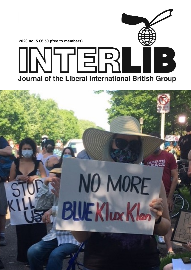

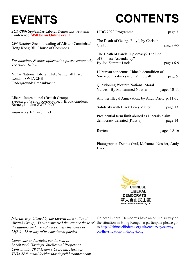## **EVENTS**

# **CONTENTS**

| 26th-29th September Liberal Democrats' Autumn<br>Conference. Will be an Online event.                    | LIBG 2020 Programme<br>page 3                                                                        |
|----------------------------------------------------------------------------------------------------------|------------------------------------------------------------------------------------------------------|
| 23rd October Second reading of Alistair Carmichael's<br>Hong Kong Bill, House of Commons.                | The Death of George Floyd, by Christine<br>Graf.<br>pages 4-5                                        |
| For bookings & other information please contact the<br>Treasurer below.                                  | The Death of Panda Diplomacy? The End<br>of Chinese Ascendancy?<br>By Joe Zammit-Lucia.<br>pages 6-9 |
| NLC= National Liberal Club, Whitehall Place,<br>London SW1A 2HE                                          | LI bureau condemns China's demolition of<br>'one-country-two systems' firewall.<br>page 9            |
| Underground: Embankment                                                                                  | Questioning Western Nations' Moral<br>Values! By Mohammed Nossier<br>pages $10-11$                   |
| Liberal International (British Group)                                                                    | Another Illegal Annexation, by Andy Daer. p. 11-12                                                   |
| Treasurer: Wendy Kyrle-Pope, 1 Brook Gardens, Barnes, London SW13 0LY<br><i>email</i> w.kyrle@virgin.net | Solidarity with Black Lives Matter.<br>page 13                                                       |
|                                                                                                          | Presidential term limit abused as Liberals claim<br>democracy defeated [Russia]<br>page 14           |
|                                                                                                          | Reviews<br>pages $15-16$                                                                             |
|                                                                                                          |                                                                                                      |

Photographs: Dennis Graf, Mohamed Nossier, Andy Daer.



*InterLib is published by the Liberal International (British Group). Views expressed therein are those of the authors and are not necessarily the views of LI(BG), LI or any of its constituent parties.*

*Comments and articles can be sent to Lockhart & Hastings, Intellectual Properties Consultants, 29 St Helen's Crescent, Hastings TN34 2EN, email lockharthastings@btconnect.com*

Chinese Liberal Democrats have an online survey on the situation in Hong Kong. To participate please go to https://chineselibdems.org.uk/en/survey/surveyon-the-situation-in-hong-kong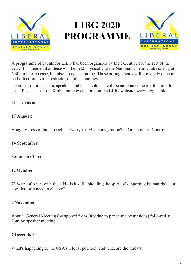

### **LIBG 2020 PROGRAMME**



A programme of events for LIBG has been organised by the executive for the rest of the year. It is ntended that these will be held physically at the National Liberal Club starting at 6.30pm in each case, but also broadcast online. These arrangements will obviously depend on both corona virus restrictions and technology.

Details of online access, speakers and exact subjects will be announced nearer the time for each. Please check the forthcoming events link on the LIBG website, www.libg.co.uk

The events are:

#### **17 August:**

Hungary Loss of human rights - worry for EU disintegration? Is Orban out of Control?

#### **14 September**

Forum on China

#### **12 October**

75 years of peace with the UN - is it still upholding the spirit of supporting human rights or does its form need to change?

#### 9 **November**

Annual General Meeting (postponed from July due to pandemic restrictions) followed at 7pm by speaker meeting

#### **7 December**

What's happening to the USA's Global position, and what are the threats?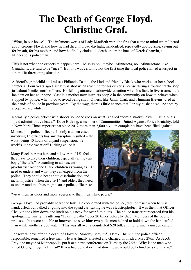### **The Death of George Floyd. Christine Graf.**

"What, in our house?" The infamous words of Lady MacBeth were the first that came to mind when I heard about George Floyd, and how he had died in broad daylight, handcuffed, repeatedly apologizing, crying out for breath, for his mother, and how he finally choked to death under the knee of Derek Chauvin, a Minneapolis policeman.

This is not what one expects to happen here. Mississippi, maybe. Minnesota, no. Minnesotans, like Canadians, are said to be "nice." But this was certainly not the first time the local police killed a suspect in a non-life-threatening situation.

A friend's grandchild still misses Philando Castile, the kind and friendly Black who worked at her school cafeteria. Four years ago Castile was shot when reaching for his driver's license during a routine traffic stop just about 3 miles north of here. His killing attracted nationwide attention when his fiancée livestreamed the incident on her cellphone. Castile's mother now instructs people in the community on how to behave when stopped by police, what to do to avoid being shot. Others, like Jamar Clark and Thurman Blevins, died at the hands of police in previous years. By the way, there is little chance that I or my husband will be shot by a cop: we are white.

Normally a police officer who shoots someone goes on what is called "administrative leave." Usually it's "paid administrative leave." Dave Bicking, a member of Communities United Against Police Brutality, told a New York Times reporter that since 2012 more than 2,600 civilian complaints have been filed against

Minneapolis police officers. In only a dozen cases involving 15 officers has any discipline resulted – the worst being 40 hours of unpaid suspension, "A week's unpaid vacation" Bicking called it.

Many Black parents here and all over the U.S. feel they have to give their children, especially if they are boys, "the talk." According to adolescent psychiatrist Adrienne Clark, children as young as 10 need to understand what they can expect from the police. They should hear about discrimination and racial injustice: when they're 14 and older, they need to understand that bias might cause police officers to



"view them as older and more aggressive than their white peers."

George Floyd had probably heard the talk. He cooperated with the police, did not resist when he was handcuffed, but balked at going into the squad car, saying he was claustrophobic. It was then that Officer Chauvin took him down and knelt on his neck for over 8 minutes. The police transcript recorded first his apologizing, finally his uttering "I can't breathe" over 20 times before he died. Members of the public protested, but were not able to intervene to save him: two policemen helped to hold down the handcuffed man while another stood watch. This was all over a counterfeit \$20 bill, a minor crime, a misdemeanor.

For several days after the death of Floyd on Monday, May 25<sup>th</sup>, Derek Chauvin, the police officer responsible, remained a free man. He was finally arrested and charged on Friday, May 29th. As Jacob Frey, the mayor of Minneapolis, put it at a news conference on Tuesday the 26th: "Why is the man who killed George Floyd not in jail? If you had done it or I had done it, we would be behind bars right now."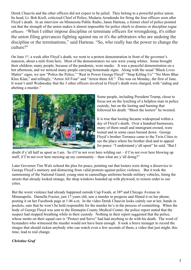Derek Chauvin and the other officers did not expect to be jailed. They belong to a powerful police union. Its head, Lt. Bob Kroll, criticized Chief of Police, Medaria Arradondo for firing the four officers soon after Floyd's death. In an interview on Minnesota Public Radio, Janee Harteau, a former chief of police pointed out that the strength of the union makes it almost impossible for police chiefs to dismiss or discipline rogue officers: "When I either impose discipline or terminate officers for wrongdoing, it's either the union filing grievances fighting against me or it's the arbitrators who are undoing the discipline or the terminations," said Harteau. "So, who really has the power to change the culture?"

On June 1<sup>st</sup>, a week after Floyd's death, we went to a protest demonstration in front of the governor's mansion, about a mile from here. Most of the demonstrators we saw were young whites. Some brought their children; many people, because of the pandemic, wore masks. It was a peaceful demonstration on a hot afternoon, and we noticed many people carrying homemade signs. Along with the usual "Black Lives Matter" signs, we saw "Police the Police," "Rest in Power George Floyd" "Stop Killing Us" "No More Blue Klux Klan," and tellingly, "Arrest All Four" and "Arrest them All." This was on Monday, the first of June. It wasn't until Wednesday that the 3 other officers involved in Floyd's death were charged, with "aiding and abetting a murder."



Some people, including President Trump, chose to focus not on the lynching of a helpless man in police custody, but on the looting and burning that followed his death: "Shoot the looters" he tweeted.

It is true that looting became widespread within a day of Floyd's death. Over a hundred businesses, many of them small and immigrant-owned, were looted and in some cases burned down. George Floyd's brother Terrance came to the Twin Cities to see the place where his brother died and to appeal for peace: "I understand y'all upset" he said, "But I

doubt if y'all half as upset as I am. So if I'm not over here wilding out – if I'm not over here blowing up stuff, if I'm not over here messing up my community – then what are y'all doing?"

Later Governor Tim Walz echoed the plea for peace, pointing out that looters were doing a disservice to George Floyd's memory and distracting from valid protests against police violence. But it took the summoning of the National Guard, young men in camouflage uniforms beside military vehicles, lining the streets that already looked strange, the shop windows boarded up with plywood, to restore order to our cities.

But the worst violence had already happened outside Cup Foods, at 38<sup>th</sup> and Chicago Avenue in Minneapolis. Darnella Frazier, just 17 years old, saw a murder in progress and filmed it on her phone, posting it on her Facebook page at 1:46 a.m. In the video Derek Chauvin looks calmly out at her, hands in pockets, sure that he won't be held responsible for the murder he's in the process of committing. When the body of George Floyd was sent to the Hennepin County Medical Center, the police report stated that the suspect had stopped breathing while in their custody. Nothing in their report suggested that the police, whose motto on their squad cars is "Protect and Serve" had had anything to do with his death. The word of bystanders who witnessed the murder would not have been enough. It took a brave teenager to record the images that should sicken anybody who can watch even a few seconds of them, a video that just might, this time, lead to real change.

#### *Christine Graf*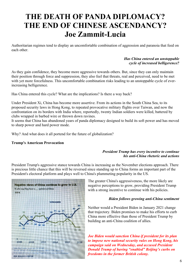### **THE DEATH OF PANDA DIPLOMACY? THE END OF CHINESE ASCENDANCY? Joe Zammit-Lucia**

Authoritarian regimes tend to display an uncomfortable combination of aggression and paranoia that feed on each other.

#### *Has China entered an unstoppable cycle of increased belligerence?*

As they gain confidence, they become more aggressive towards others. But, since they can only maintain their position through force and suppression, they also feel that threats, real and perceived, need to be met with yet more forcefulness. This uncomfortable combination risks leading to an unstoppable cycle of everincreasing belligerence.

Has China entered this cycle? What are the implications? Is there a way back?

Under President Xi, China has become more assertive. From its actions in the South China Sea, to its proposed security laws in Hong Kong, to repeated provocative military flights over Taiwan, and now the confrontation on its borders with India where, reportedly, twenty Indian soldiers were killed, battered by clubs wrapped in barbed wire or thrown down ravines.

It seems that China has abandoned years of panda diplomacy designed to build its soft power and has moved to sharp power and hard power mode.

Why? And what does it all portend for the future of globalization?

#### **Trump's American Provocation**

#### *President Trump has every incentive to continue his anti-China rhetoric and actions*

President Trump's aggressive stance towards China is increasing as the November elections approach. There is precious little chance that this will be reversed since standing up to China forms an important part of the President's electoral platform and plays well to China's plummeting popularity in the US.



The greater China's aggressiveness, the more likely are negative perceptions to grow, providing President Trump with a strong incentive to continue with his policies.

#### *Biden follows growing anti-China sentiment*

Neither would a President Biden in January 2021 change that trajectory. Biden promises to make his efforts to curb China more effective than those of President Trump by building an anti-China coalition of allies.

*Joe Biden would sanction China if president for its plan to impose new national security rules on Hong Kong, his campaign said on Wednesday, and accused President Donald Trump of having "enabled" Beijing's curbs on freedoms in the former British colony.*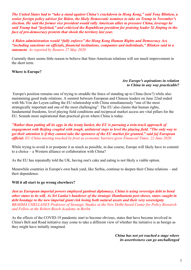*The United States had to "take a stand against China's crackdown in Hong Kong," said Tony Blinken, a senior foreign policy advisor for Biden, the likely Democratic nominee to take on Trump in November's election. He said the former vice president would rally American allies to pressure China, leverage he said Trump had "forfeited," and criticized the Republican president for praising leader Xi Jinping in the face of pro-democracy protests that shook the territory last year.*

*A Biden administration would "fully enforce" the Hong Kong Human Rights and Democracy Act, "including sanctions on officials, financial institutions, companies and individuals," Blinken said in a statement. As reported by Reuters 27 May 2020*

Currently there seems little reason to believe that Sino-American relations will see much improvement in the short term.

#### **Where is Europe?**

#### *Are Europe's aspirations in relation to China in any way practicable?*

 Europe's position remains one of trying to straddle the fence of standing up to China (how?) while also maintaining good trade relations. A summit between European and Chinese leaders on June 22nd ended with Ms Von der Leyen calling the EU relationship with China simultaneously "one of the most strategically important and one of the most challenging". The EU also claims that human rights, fundamental freedoms, level playing field conditions and reciprocal market access are vital pillars for the EU. Sounds more aspirational than practical given where China is today.

*"Rather than putting all its eggs in the treaty basket, the EU is pursuing a twin-track approach of engagement with Beijing coupled with tough, unilateral steps to level the playing field. "The only way to get their attention is if they cannot take the openness of the EU market for granted," said [a] European official***.** *EU-China meeting touched by frost as economic barriers grow Financial Times, 22 June 2020*

While trying to avoid it or postpone it as much as possible, in due course, Europe will likely have to commit to a choice – a Western alliance or collaboration with China?

As the EU has repeatedly told the UK, having one's cake and eating is not likely a viable option.

Meanwhile countries in Europe's own back yard, like Serbia, continue to deepen their China relations – and their dependence.

#### **Will it all start to go wrong elsewhere?**

*Just as European imperial powers employed gunboat diplomacy, China is using sovereign debt to bend other states to its will. As Sri Lanka's handover of the strategic Hambantota port shows, states caught in debt bondage to the new imperial giant risk losing both natural assets and their very sovereignty. BRAHMA CHELLANEY Professor of Strategic Studies at the New Delhi-based Center for Policy Research and Fellow at the Robert Bosch Academy in Berlin*

As the effects of the COVID-19 pandemic start to become obvious, states that have become involved in China's Belt and Road initiative may come to take a different view of whether the initiative is as benign as they might have initially imagined.

> *China has not yet reached a stage where its assertiveness can go unchallenged*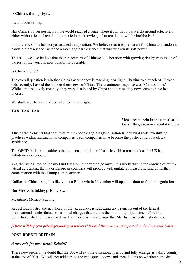#### **Is China's timing right?**

It's all about timing.

Has China's power position on the world reached a stage where it can throw its weight around effectively either without fear of retaliation, or safe in the knowledge that retaliation will be ineffective?

In our view, China has not yet reached that position. We believe that it is premature for China to abandon its panda diplomacy and switch to a more aggressive stance that will weaken its soft power.

That said, we also believe that the replacement of Chinese collaboration with growing rivalry with much of the rest of the world is now possibly irreversible.

#### **Is China 'done'?**

The overall question is whether China's ascendancy is reaching it twilight. Chatting to a bunch of 17-yearolds recently, I asked them about their views of China. The unanimous response was "China's done." While, until relatively recently, they were fascinated by China and its rise, they now seem to have lost interest.

We shall have to wait and see whether they're right.

#### **TAX, TAX, TAX.**

#### **Measures to rein in industrial scale tax shifting receive a nonfatal blow**

 One of the elements that continues to turn people against globalization is industrial scale tax-shifting practices within multinational companies. Tech companies have become the poster child of such tax avoidance.

The OECD initiative to address the issue on a multilateral basis have hit a roadblock as the US has withdrawn its support.

Yet, the issue is too politically (and fiscally) important to go away. It is likely that, in the absence of multilateral agreement, the major European countries will proceed with unilateral measure setting up further confrontation with the Trump administration.

Unlike the China issue, it is likely that a Biden win in November will open the door to further negotiations.

#### **But Mexico is taking prisoners…**

Meantime, Mexico is acting.

Raquel Buenrostro, the new head of the tax agency, is squeezing tax payments out of the largest multinationals under threats of criminal charges that include the possibility of jail time before trial. Some have labelled the approach as 'fiscal terrorism' – a charge that Ms Buenrostro strongly denies.

*[There will be] zero privileges and zero waivers" Raquel Buenrostro, as reported in the Financial Times*

#### **POST-BREXIT BRITAIN**

#### *A new role for post-Brexit Britain?*

There now seems little doubt that the UK will exit the transitional period and fully emerge as a third country at the end of 2020. We will not add here to the widespread views and speculations on whether some deal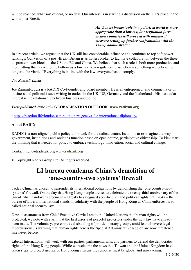will be reached, what sort of deal, or no deal. Our interest is in starting a discussion on the UK's place in the world post-Brexit.

> *An 'honest broker' role in a polarized world is more appropriate than a low tax, low regulation juris diction countries will proceed with unilateral measure setting up further confrontation with the Trump administration.*

In a recent article<sup>1</sup> we argued that the UK still has considerable influence and continues to top soft power rankings. Our vision of a post-Brexit Britain is as honest broker to facilitate collaboration between the three disparate power blocks – the US, the EU and China. We believe that such a role is both more productive and more fitting than a race to the bottom as a low tax, low regulation jurisdiction – something we believe no longer to be viable. "Everything is in line with the law, everyone has to comply.

#### *Joe Zammit-Lucia*

Joe Zammit-Lucia is a RADIX Co-Founder and board member. He is an entrepreneur and commentator on business and political issues writing in outlets in the UK, US, Germany and the Netherlands. His particular interest is the relationship between business and politic

#### *First published June 2020* **GLOBALISATION OUTLOOK [www.radixuk.org](http://www.radixuk.org)**

<sup>1</sup> https://reaction.life/london-can-be-the-new-geneva-for-international-diplomacy/

#### **About RADIX**

RADIX is a non-aligned public policy think tank for the radical centre. Its aim is to re-imagine the way government, institutions and societies function based on open-source, participative citizenship. To kick-start the thinking that is needed for policy to embrace technology, innovation, social and cultural change.

Contact: hello@radixuk.org [www.radixuk.org](http://www.radixuk.org)

© Copyright Radix Group Ltd. All rights reserved.

#### **LI bureau condemns China's demolition of 'one-country-two systems' firewall**

Today China has chosen to surrender its international obligations by demolishing the 'one-country-twosystems' firewall. On the day that Hong Kong people are set to celebrate the twenty-third anniversary of the Sino-British handover agreement – a treaty to safeguard specific civil and political rights until 2047 – the bureau of Liberal International stands in solidarity with the people of Hong Kong as China enforces its socalled national security law.

Despite assurances from Chief Executive Carrie Lam to the United Nations that human rights will be protected, we note with alarm that the first arrests of peaceful protestors under the new law have already been made. The voluntary, pre-emptive disbanding of pro-democracy groups, amid fear of severe legal repercussions, is warning that human rights across the Special Administrative Region are now threatened like never before.

Liberal International will work with our parties, parliamentarians, and partners to defend the democratic rights of the Hong Kong people. While we welcome the news that Taiwan and the United Kingdom have taken steps to protect groups of Hong Kong citizens the response must be global and unwavering.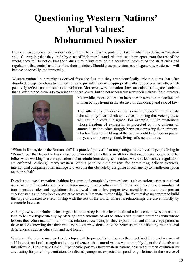### **Questioning Western Nations' Moral Values! Mohammed Nossier**

In any given conversation, western citizens tend to express the pride they take in what they define as "western values". Arguing that they abide by a set of high moral standards that sets them apart from the rest of the world, they fail to notice that the values they claim may be the accidental product of the strict rules and regulations that control and discipline their societies. Should these provisions ever degenerate, westerners will behave chaotically and immorally.

Western nations' superiority is derived from the fact that they are scientifically driven nations that offer dignified, prosperous lives to their citizens and provide them with appropriate paths for personal growth, which positively reflects on their societies' evolution. Moreover, western nations have articulated ruling mechanisms that allow their politicians to exercise and share power, but do not necessarily serve their citizens' best interests.



Meanwhile, moral values can be better observed in the actions of human beings living in the absence of democracy and rule of law.

The authenticity of moral values is most noticeable in individuals who stand by their beliefs and values knowing that voicing these will result in certain disgrace. For example, unlike westerners whose freedom of expression is protected by law, citizens of autocratic nations often struggle between expressing their opinions, which – if not to the liking of the ruler – could land them in prison for years, and keeping silent, living safe, neutral lives.

"When in Rome, do as the Romans do" is a practical proverb that may safeguard the lives of people living in "Rome", but that lacks the basic essence of morality. It reflects an attitude that encourages people to offer bribes when working in a corrupt nation and to refrain from doing so in nations where strict business regulations are enforced. Although many western nations penalize their citizens for committing bribery overseas, international companies often manage to overcome this obstacle by assigning a local agency to handle corruption on their behalf.

Decades ago, western nations habitually committed completely immoral acts such as serious crimes, national wars, gender inequality and sexual harassment, among others –until they put into place a number of transformative rules and regulations that allowed them to live progressive, moral lives, attain their present superior status and develop a constructive western interstate relationship. The West makes no attempt to build this type of constructive relationship with the rest of the world, where its relationships are driven mostly by economic interests.

Although western scholars often argue that autocracy is a barrier to national advancement, western nations tend to behave hypocritically by offering large amounts of aid to autocratically ruled countries with whose leaders they often maintain harmonious relations. Accordingly, they export arms and military equipment to these nations knowing that their military budget provisions could be better spent on offsetting real national deficiencies, such as education and healthcare!

Western nations have managed to develop a path to prosperity that serves them well and that revolves around self-interest, national strength and competitiveness; their moral values were probably formulated to advance this lifestyle. The present Covid-19 pandemic portrays how western nations deal with human evolution by advocating for providing ventilators to infected youngsters expected to spend long lifetimes in the service of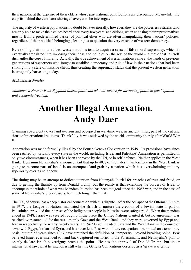their nations, at the expense of their elders whose past national contributions are discounted. Meanwhile, the culprits behind the ventilator shortage have yet to be interrogated!

The majority of western populations no doubt behaves morally; however, they are the powerless citizens who are only able to make their voices heard once every few years, at elections, when choosing their representatives mostly from a predetermined basket of political elites who are often manipulating their nations' policies, regardless of their political belongings, leading us to question the very essence of western democracy.

By extolling their moral values, western nations tend to acquire a sense of false moral supremacy, which is eventually translated into imposing their ideas and policies on the rest of the world – a move that in itself dismantles the core of morality. Actually, the true achievement of western nations came at the hands of previous generations of westerners who fought to establish democracy and rule of law in their nations that had been sinking into a state of massive chaos, thus creating the supremacy status that the present western generation is arrogantly harvesting today.

#### *Mohammed Nossier*

*Mohammed Nosseir is an Egyptian liberal politician who advocates for advancing political participation and economic freedom.*

### **Another Illegal Annexation. Andy Daer**

Claiming sovereignty over land overrun and occupied in war-time was, in ancient times, part of the cut and thrust of international relations. Thankfully, it was outlawed by the world community shortly after World War II.

Annexation was made formally illegal by the Fourth Geneva Convention in 1949. Its provisions have since been ratified by virtually every state in the world, including Israel and Palestine<sup>1</sup>. Annexation is permitted in only two circumstances, when it has been approved by the UN, or in self-defence. Neither applies in the West Bank. Benjamin Netanyahu's announcement that up to 40% of the Palestinian territory in the West Bank is going to become part of Israel is an attempted land-grab by a nation which has overwhelming military superiority over its neighbour.

The timing may be an attempt to deflect attention from Netanyahu's trial for breaches of trust and fraud, or due to getting the thumbs up from Donald Trump, but the reality is that extending the borders of Israel to encompass the whole of what was Mandate Palestine has been the goal since the 1967 war, and in the case of some of Netanyahu's predecessors, for much longer than that.

The UK, of course, has a deep historical connection with this dispute. After the collapse of the Ottoman Empire in 1917, the League of Nations mandated the British to nurture the creation of a Jewish state in part of Palestinian, provided the interests of the indigenous people in Palestine were safeguarded. When the mandate ended in 1948, Israel was created roughly in the place the United Nations wanted it, but no agreement was reached over statehood for the rest - mainly Gaza and the West Bank, and they were governed by Egypt and Jordan respectively for nearly twenty years. In 1967 Israel invaded Gaza and the West Bank in the course of a war with Egypt, Jordan and Syria, and has never left. Post-war military occupation is permitted on a temporary basis, but the 53 years since 1967 have stretched the definition of 'temporary' beyond breaking point. Few believed Israel ever intended to hand back captured territories to the Palestinians, and Netanyahu's plan to openly declare Israeli sovereignty proves the point. He has the approval of Donald Trump, but under international law, what he intends is still what the Geneva Conventions describe as a 'grave war crime'.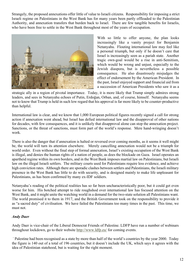Strangely, the proposed annexations offer little of value to Israeli citizens. Responsibility for imposing a strict Israeli regime on Palestinians in the West Bank has for many years been partly offloaded to the Palestinian Authority, and annexation transfers that burden back to Israel. There are few tangible benefits for Israelis, who have been free to settle in the West Bank throughout most of the years of occupation.



With so little to offer anyone, the plan looks increasingly like a vanity project for Benjamin Netanyahu. Flouting international law may feel like a personal triumph, but only if he doesn't care that Israel is increasingly seen as a pariah state. Another tragic own-goal would be a rise in anti-Semitism, which would be wrong and unjust, especially to the Jewish diaspora, but is nevertheless a possible consequence. He also disastrously misjudges the effect of endorsement by the American President. In the past, Israel enjoyed support and financial aid from a succession of American Presidents who saw it as a

strategic ally in a region of pivotal importance. Today, it is more likely that Trump simply admires strong leaders, and sees in Netanyahu echoes of Putin, Erdoğan, Orban, and, of course, himself. Netanyahu seems not to know that Trump is held in such low regard that his approval is far more likely to be counter-productive than helpful.

International law is clear, and we know that 1,000 European political figures recently signed a call for strong action if annexation went ahead, but Israel has defied international law and the disapproval of other nations for decades, with few consequences, and it is unlikely that disapproval alone can stop the annexation project. Sanctions, or the threat of sanctions, must form part of the world's response. Mere hand-wringing doesn't work.

There is also the danger that if annexation is halted or reversed over coming months, as it seems it well might be, the world will turn its attention elsewhere. Merely cancelling annexation would not be a triumph for world order. Even without the final step of formal annexation, Israel's existing occupation of the West Bank is illegal, and denies the human rights of a nation of people, as does the blockade on Gaza. Israel operates an apartheid regime within its own borders, and in the West Bank imposes martial law on Palestinians, but Israeli law on the illegal Israeli settlers. The military courts used for Palestinians require less evidence, and achieve high conviction rates. Although there are sporadic clashes between settlers and Palestinians, the Israeli military presence in the West Bank has little to do with security, and is designed mainly to make life unpleasant for Palestinians, as has been confirmed by many ex-IDF soldiers.

Netanyahu's reading of the political realities has so far been uncharacteristically poor, but it could get even worse for him. His botched attempt to ride roughshod over international law has focused attention on the West Bank, and it might unite the watching world in a demand for the two-state solution all Palestinians want. The world promised it to them in 1917, and the British Government took on the responsibility to provide it as "a sacred duty" of civilisation. We have failed the Palestinians too many times in the past. This time, we must not.

#### *Andy Daer*

Andy Daer is vice-chair of the Liberal Democrat Friends of Palestine. LDFP have run a number of webinars throughout lockdown, go to their website <http://www.ldfp.eu/> for coming events.

<sup>1</sup> Palestine had been recognised as a state by more than half of the world's countries by the year 2000. Today the figure is 140 out of a total of 196 countries, but it doesn't include the UK, which says it agrees with the idea of Palestinian statehood, but is waiting for the right moment.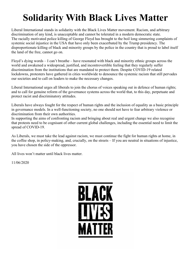### **Solidarity With Black Lives Matter**

Liberal International stands in solidarity with the Black Lives Matter movement. Racism, and arbitrary discrimination of any kind, is unacceptable and cannot be tolerated in a modern democratic state. The racially motivated police killing of George Floyd has brought to the boil long simmering complaints of systemic social injustice in the USA that have only been exacerbated by the Trump presidency. The disproportionate killing of black and minority groups by the police in the country that is proud to label itself the land of the free, cannot go on.

Floyd's dying words – I can't breathe – have resonated with black and minority ethnic groups across the world and awakened a widespread, justified, and incontrovertible feeling that they regularly suffer discrimination from the institutions that are mandated to protect them. Despite COVID-19 related lockdowns, protesters have gathered in cities worldwide to denounce the systemic racism that still pervades our societies and to call on leaders to make the necessary changes.

Liberal International urges all liberals to join the chorus of voices speaking out in defence of human rights; and to call for genuine reform of the governance systems across the world that, to this day, perpetuate and protect racist and discriminatory attitudes.

Liberals have always fought for the respect of human rights and the inclusion of equality as a basic principle in governance models. In a well-functioning society, no one should not have to fear arbitrary violence or discrimination from their own authorities.

In supporting the aims of confronting racism and bringing about real and urgent change we also recognise that protests need to be cognisant of other current global challenges, including the essential need to limit the spread of COVID-19.

As Liberals, we must take the lead against racism, we must continue the fight for human rights at home, in the coffee shop, in policy-making, and, crucially, on the streets – If you are neutral in situations of injustice, you have chosen the side of the oppressor.

All lives won't matter until black lives matter.

11/06/2020

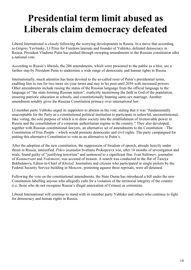### **Presidential term limit abused as Liberals claim democracy defeated**

Liberal International is closely following the worrying developments in Russia. In a move that according to Grigory Yavlinsky, LI Prize for Freedom laureate and founder of Yabloko, defeated democracy in Russia, President Vladimir Putin has pushed through sweeping amendments to the Russian constitution after a national vote.

According to Russia's liberals, the 206 amendments, which were presented to the public as a bloc, are a further step by President Putin to undermine a wide range of democratic and human rights in Russia.

Internationally, much attention has been devoted to the so-called reset of Putin's presidential terms, enabling him to run for two more six-year terms and stay in his post until 2036 with increased powers. Other amendments include raising the status of the Russian language from the official language to the language of "the state-forming Russian nation", explicitly mentioning the faith in God of the population, ensuring patriotic education in schools, and constitutionally banning same-sex marriage. Another amendment notably gives the Russian Constitution primacy over international law.

LI member party Yabloko urged its supporters to abstain in the vote, stating that it was "fundamentally unacceptable for the Party as a constitutional political institution to participate in unlawful, unconstitutional, fake voting, the sole purpose of which is to draw society into the establishment of irremovable power in Russia and the consolidation of a corporate authoritarian regime in the country." They also developed, together with Russian constitutional lawyers, an alternative set of amendments to the Constitution – The Constitution of Free People – which would promote democratic and civil rights. The party campaigned for putting this alternative Constitution to vote as an alternative to Putin's.

After the adoption of the new constitution, the suppression of freedom of speech, already heavily under threat in Russia, intensified. *Pskov* journalist Svetlana Prokopyeva was, after 18 months of investigation and trials, found guilty of "justifying terrorism" and sentenced to a significant fine. Ivan Safronov, journalist of *Kommersant* and *Vedomosti*, was accused of treason. A search was conducted in the flat of Taisiya Bekbulatova, Editor-in-Chief of *Kholod*. Journalists and citizens who participated in single pickets by the Federal Security Service building in Moscow, protesting against these reprisals, were all detained.

Following the vote on the constitutional amendments, the State Duma has introduced a bill under the new Constitution labelling anyone who allegedly calls for a violation of the territorial integrity of the country (i.e. those who do not recognise Russia's illegal annexation of Crimea) as extremists.

Liberal International will continue to stand with its member party Yabloko and others who continue to fight for democracy and human rights in Russia.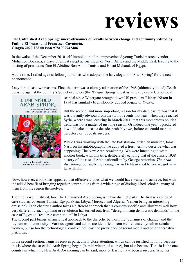# **reviews**

#### **The Unfinished Arab Spring: micro-dynamics of revolts between change and continuity, edited by Fatima El-Issawi and Francesco Cavatorta. Gingko 2020 £28.00 isbn 9781909942486**

In the wake of the December 2010 self-immolation of the impoverished young Tunisian street vendor, Mohamed Bouazizi, a wave of unrest swept across much of North Africa and the Middle East, leading to the ousting of presidents Zine El Abidine Ben Ali of Tunisia and Hosni Mubarak of Egypt.

At the time, I railed against fellow journalists who adopted the lazy slogan of 'Arab Spring' for the new phenomenon.

Lazy for at least two reasons. First, the term was a clumsy adaptation of the 1968 (ultimately failed) Czech uprising against the country's Soviet occupiers (the 'Prague Spring'); just as virtually every US political



EDITED BY Fatima El-Issawi AND Francesco Cavatorta

scandal since Watergate brought down US president Richard Nixon in 1974 has similarly been sloppily dubbed X-gate or Y-gate.

But the second, and more important, reason for my displeasure was that it was blatantly obvious from the turn of events, not least when they reached Syria, where I was lecturing in March 2011, that this momentous political trend was not a matter of just one season. Or indeed one year. I predicted it would take at least a decade, probably two, before we could map its trajectory or judge its success.

While I was working with the late Palestinian-Jordanian minister, Jamal Nasir on his autobiography we adopted a fresh term to describe what was happening: The New Arab Awakening. We were intending to write another book, with this title, deliberately echoing that of the classic 1938 history of the rise of Arab nationalism by George Antonius, *The Arab Awakening,* but sadly the nonagenarian Dr Nasir died before we got very far with that.

Now, however, a book has appeared that effectively does what we would have wanted to achieve, but with the added benefit of bringing together contributions from a wide range of distinguished scholars, many of them from the region themselves.

The title is well justified, too. The Unfinished Arab Spring is in two distinct parts. The first is a series of case studies, covering Tunisia, Egypt, Syria, Libya, Morocco and Algeria (Yemen being an interesting omission). Each chapter's author takes a different approach that is country-specific and illustrates well how very differently each uprising or revolution has turned out, from "delegitimising democratic demands" in the case of Egypt to "resource competition" in Libya.

The second part brings an analytical approach to the dialectic between the 'dynamics of change' and the 'dynamics of continuity'. Various agents and actors are identified, from well-educated youth to secular women, but so too the technological context, not least the prevalence of social media and other alternative platforms.

In the second section, Tunisia receives particularly close attention, which can be justified not only because this is where the so-called Arab Spring began (in mid-winter, of course), but also because Tunisia is the one country in which the New Arab Awakening can be said, more or less, to have been a success. Whether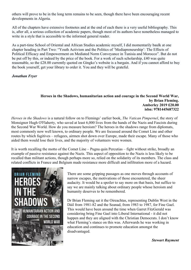others will prove to be in the long term remains to be seen, though there have been encouraging recent developments in Algeria.

All of the chapters have extensive footnotes and at the end of each there is a very useful bibliography. This is, after all, a serious collection of academic papers, though most of its authors have nonetheless managed to write in a style that is accessible to the informed general reader.

As a part-time School of Oriental and African Studies academic myself, I did momentarily baulk at one chapter heading in Part Two: "Youth Activism and the Politics of 'Mediapreneurship': The Effects of Political Efficacy and Empowerment on Mediated Norm Conveyance in Tunisia and Morocco". But do not be put off by this, or indeed by the price of the book. For a work of such scholarship, £40 was quite reasonable, so the £28.00 currently quoted on Gingko's website is a bargain. And if you cannot afford to buy the book yourself, get your library to order it. You and they will be grateful.

#### *Jonathan Fryer*

#### **Heroes in the Shadows, humanitarian action and courage in the Second World War, by Brian Fleming. Amberley 2019 £20.00 isbn: 9781445687322**

*Heroes in the Shadows* is a natural follow on to Flemings' earlier book, *The Vatican Pimpernel*, the story of Monsignor Hugh O'Flaherty, who saved at least 6,000 lives from the hands of the Nazis and Fascists during the Second War World. How do you measure heroism? The heroes in the shadows range from diplomats, most commonly now well known, to ordinary people. We are focussed around the Comet Line and other routes by which fugitives – refugees, airmen shot down over Europe, made their escape. Many of those who aided them would lose their lives, and the majority of volunteers were women.

It is worth recalling the motto of the Comet Line – Pugna quin Percutias – fight without strike, broadly an example of passive resistance against the Nazis. This aspect of opposition to the Nazis is less likely to be recalled than militant actions, though perhaps more so, relied on the solidarity of its members. The class and related conflicts in France and Belgium made resistance more difficult and infiltration more of a hazard.



There are some gripping passages as one moves through accounts of narrow escapes, the motivations of those encountered, the sheer audacity. It would be a spoiler to say more on that basis, but suffice to say we are mainly talking about ordinary people whose heroism and humanity deserves to be remembered.

Dr Brian Fleming sat it the Oireachtas, representing Dublin West in the Dáil from 1981-82 and the Seanad, from 1983 to 1987, for Fine Gael. This would have been around the time when Garret FitzGerald was considering bring Fine Gael into Liberal International - it did not happen and they are aligned with the Christian Democrats. I don't know what Fleming's stance on this was. Afterwards he was working in education and continues to promote education amongst the disadvantaged.

*Stewart Rayment*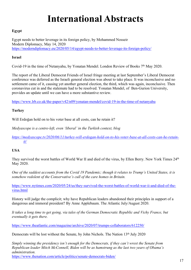### **International Abstracts**

#### **Egypt**

Egypt needs to better leverage in its foreign policy, by Mohammed Nosseir Modern Diplomacy, May 14, 2020 https://moderndiplomacy.eu/2020/05/14/egypt-needs-to-better-leverage-its-foreign-policy/

#### **Israel**

Covid-19 in the time of Netanyahu, by Yonatan Mendel. London Review of Books 7<sup>th</sup> May 2020.

The report of the Liberal Democrat Friends of Israel fringe meeting at last September's Liberal Democrat conference was deferred as the Israeli general election was about to take place. It was inconclusive and no settlement came of it, causing yet another general election, the third, which was again, inconclusive. Then coronavirus cut in and the stalemate had to be resolved. Yonatan Mendel, of Ben-Gurion University, provides an update until we can have a more substantive review.

https://www.lrb.co.uk/the-paper/v42/n09/yonatan-mendel/covid-19-in-the-time-of-netanyahu

#### **Turkey**

Will Erdoğan hold on to his voter base at all costs, can he retain it?

*Medyascope is a centre-left, even 'liberal' in the Turkish context, blog*

*https://medyascope.tv/2020/06/11/turkey-will-erdogan-hold-on-to-his-voter-base-at-all-costs-can-he-retainit/*

#### **USA**

They survived the worst battles of World War II and died of the virus, by Ellen Berry. New York Times 24th May 2020.

*One of the saddest accounts from the Covid 19 Pandemic; though it relates to Trump's United States, it is somehow redolent of the Conservative's cull of the care homes in Britain.*

https://www.nytimes.com/2020/05/24/us/they-survived-the-worst-battles-of-world-war-ii-and-died-of-thevirus.html

History will judge the complicit; why have Republican leaders abandoned their principles in support of a dangerous and immoral president? By Anne Applebaum. The Atlantic July/August 2020.

*It takes a long time to get going, via tales of the German Democratic Republic and Vichy France, but eventually it gets there.*

https://www.theatlantic.com/magazine/archive/2020/07/trumps-collaborators/612250/

Democrats will be lost without the Senate, by John Nichols. The Nation 13<sup>th</sup> July 2020

*Simply winning the presidency isn't enough for the Democrats, if they can't wrest the Senate from Republican leader Mitch McConnell, Biden will be as hamstrung as the last two years of Obama's administration.*

https://www.thenation.com/article/politics/senate-democrats-biden/